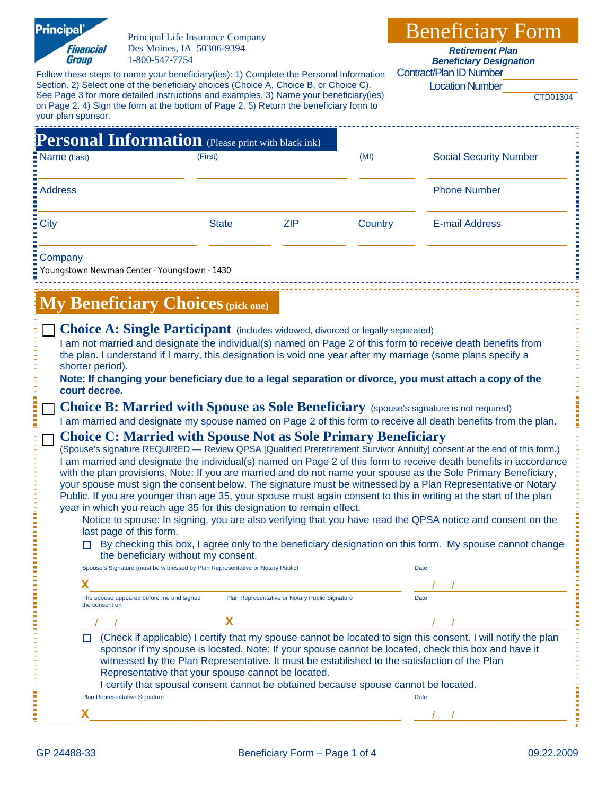| <b>Principal</b><br>Principal Life Insurance Company                                                                                                                                                                                                                                                                 |              |                                                |         | <b>Beneficiary Form</b>                                                                                        |  |  |
|----------------------------------------------------------------------------------------------------------------------------------------------------------------------------------------------------------------------------------------------------------------------------------------------------------------------|--------------|------------------------------------------------|---------|----------------------------------------------------------------------------------------------------------------|--|--|
| Des Moines, IA 50306-9394<br><b>Financial</b><br><b>Group</b><br>1-800-547-7754                                                                                                                                                                                                                                      |              |                                                |         | <b>Retirement Plan</b><br><b>Beneficiary Designation</b>                                                       |  |  |
| Follow these steps to name your beneficiary(ies): 1) Complete the Personal Information                                                                                                                                                                                                                               |              |                                                |         | <b>Contract/Plan ID Number</b>                                                                                 |  |  |
| Section. 2) Select one of the beneficiary choices (Choice A, Choice B, or Choice C).<br>See Page 3 for more detailed instructions and examples. 3) Name your beneficiary(ies)                                                                                                                                        |              |                                                |         | <b>Location Number</b><br>CTD01304                                                                             |  |  |
| on Page 2. 4) Sign the form at the bottom of Page 2. 5) Return the beneficiary form to<br>your plan sponsor.                                                                                                                                                                                                         |              |                                                |         |                                                                                                                |  |  |
| <b>Personal Information</b> (Please print with black ink)                                                                                                                                                                                                                                                            |              |                                                |         |                                                                                                                |  |  |
| Name (Last)                                                                                                                                                                                                                                                                                                          | (First)      |                                                | (MI)    | <b>Social Security Number</b>                                                                                  |  |  |
|                                                                                                                                                                                                                                                                                                                      |              |                                                |         |                                                                                                                |  |  |
| <b>Address</b>                                                                                                                                                                                                                                                                                                       |              |                                                |         | <b>Phone Number</b>                                                                                            |  |  |
| <b>City</b>                                                                                                                                                                                                                                                                                                          | <b>State</b> | <b>ZIP</b>                                     | Country | <b>E-mail Address</b>                                                                                          |  |  |
|                                                                                                                                                                                                                                                                                                                      |              |                                                |         |                                                                                                                |  |  |
| Company<br>Youngstown Newman Center - Youngstown - 1430                                                                                                                                                                                                                                                              |              |                                                |         |                                                                                                                |  |  |
|                                                                                                                                                                                                                                                                                                                      |              |                                                |         |                                                                                                                |  |  |
| <b>My Beneficiary Choices (pick one)</b>                                                                                                                                                                                                                                                                             |              |                                                |         |                                                                                                                |  |  |
| Choice A: Single Participant (includes widowed, divorced or legally separated)                                                                                                                                                                                                                                       |              |                                                |         |                                                                                                                |  |  |
|                                                                                                                                                                                                                                                                                                                      |              |                                                |         | I am not married and designate the individual(s) named on Page 2 of this form to receive death benefits from   |  |  |
| shorter period).                                                                                                                                                                                                                                                                                                     |              |                                                |         | the plan. I understand if I marry, this designation is void one year after my marriage (some plans specify a   |  |  |
|                                                                                                                                                                                                                                                                                                                      |              |                                                |         | Note: If changing your beneficiary due to a legal separation or divorce, you must attach a copy of the         |  |  |
| court decree.<br>Choice B: Married with Spouse as Sole Beneficiary (spouse's signature is not required)                                                                                                                                                                                                              |              |                                                |         |                                                                                                                |  |  |
|                                                                                                                                                                                                                                                                                                                      |              |                                                |         | I am married and designate my spouse named on Page 2 of this form to receive all death benefits from the plan. |  |  |
| <b>Choice C: Married with Spouse Not as Sole Primary Beneficiary</b>                                                                                                                                                                                                                                                 |              |                                                |         |                                                                                                                |  |  |
| (Spouse's signature REQUIRED - Review QPSA [Qualified Preretirement Survivor Annuity] consent at the end of this form.)<br>I am married and designate the individual(s) named on Page 2 of this form to receive death benefits in accordance                                                                         |              |                                                |         |                                                                                                                |  |  |
| with the plan provisions. Note: If you are married and do not name your spouse as the Sole Primary Beneficiary,                                                                                                                                                                                                      |              |                                                |         |                                                                                                                |  |  |
| your spouse must sign the consent below. The signature must be witnessed by a Plan Representative or Notary<br>Public. If you are younger than age 35, your spouse must again consent to this in writing at the start of the plan                                                                                    |              |                                                |         |                                                                                                                |  |  |
| year in which you reach age 35 for this designation to remain effect.                                                                                                                                                                                                                                                |              |                                                |         | Notice to spouse: In signing, you are also verifying that you have read the QPSA notice and consent on the     |  |  |
| last page of this form.                                                                                                                                                                                                                                                                                              |              |                                                |         |                                                                                                                |  |  |
| the beneficiary without my consent.                                                                                                                                                                                                                                                                                  |              |                                                |         | $\Box$ By checking this box, I agree only to the beneficiary designation on this form. My spouse cannot change |  |  |
| Spouse's Signature (must be witnessed by Plan Representative or Notary Public)                                                                                                                                                                                                                                       |              |                                                |         | Date                                                                                                           |  |  |
| х                                                                                                                                                                                                                                                                                                                    |              |                                                |         |                                                                                                                |  |  |
| The spouse appeared before me and signed<br>the consent on                                                                                                                                                                                                                                                           |              | Plan Representative or Notary Public Signature |         | Date                                                                                                           |  |  |
|                                                                                                                                                                                                                                                                                                                      |              |                                                |         |                                                                                                                |  |  |
| (Check if applicable) I certify that my spouse cannot be located to sign this consent. I will notify the plan<br>sponsor if my spouse is located. Note: If your spouse cannot be located, check this box and have it<br>witnessed by the Plan Representative. It must be established to the satisfaction of the Plan |              |                                                |         |                                                                                                                |  |  |
| Representative that your spouse cannot be located.<br>I certify that spousal consent cannot be obtained because spouse cannot be located.                                                                                                                                                                            |              |                                                |         |                                                                                                                |  |  |
| Plan Representative Signature                                                                                                                                                                                                                                                                                        |              |                                                |         | Date                                                                                                           |  |  |
| х                                                                                                                                                                                                                                                                                                                    |              |                                                |         |                                                                                                                |  |  |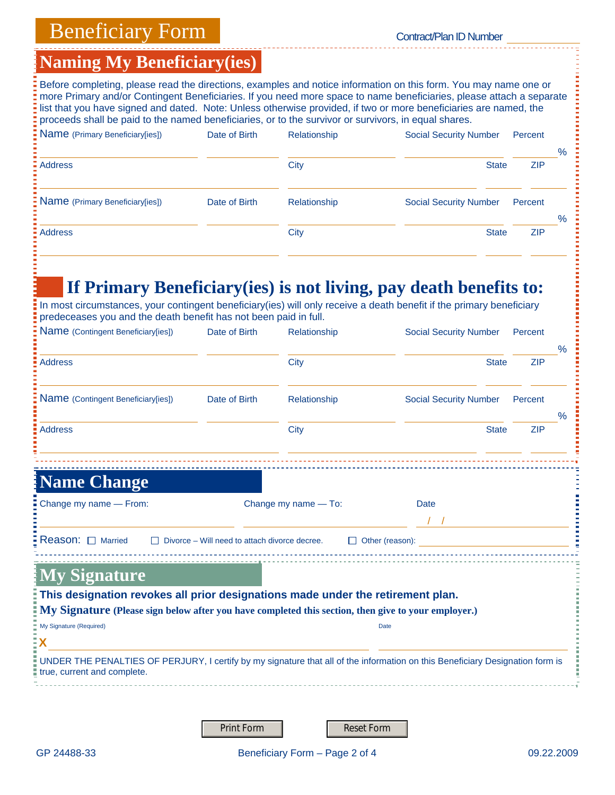# Beneficiary Form Contract/Plan ID Number

## **Naming My Beneficiary(ies)**

| Date of Birth | Relationship | <b>Social Security Number</b> | Percent    |               |
|---------------|--------------|-------------------------------|------------|---------------|
|               | <b>City</b>  | <b>State</b>                  | <b>ZIP</b> | $\%$          |
| Date of Birth | Relationship | <b>Social Security Number</b> | Percent    |               |
|               | City         | <b>State</b>                  | <b>ZIP</b> | $\frac{0}{0}$ |
|               |              |                               |            |               |

# **If Primary Beneficiary(ies) is not living, pay death benefits to:**

| Before completing, please read the directions, examples and notice information on this form. You may name one or<br>more Primary and/or Contingent Beneficiaries. If you need more space to name beneficiaries, please attach a separate                       |                                                      |                      |                               |            |               |
|----------------------------------------------------------------------------------------------------------------------------------------------------------------------------------------------------------------------------------------------------------------|------------------------------------------------------|----------------------|-------------------------------|------------|---------------|
| list that you have signed and dated. Note: Unless otherwise provided, if two or more beneficiaries are named, the<br>proceeds shall be paid to the named beneficiaries, or to the survivor or survivors, in equal shares.                                      |                                                      |                      |                               |            |               |
| Name (Primary Beneficiary[ies])                                                                                                                                                                                                                                | Date of Birth                                        | Relationship         | <b>Social Security Number</b> | Percent    |               |
| <b>Address</b>                                                                                                                                                                                                                                                 |                                                      | City                 | <b>State</b>                  | <b>ZIP</b> | $\%$          |
| Name (Primary Beneficiary[ies])                                                                                                                                                                                                                                | Date of Birth                                        | Relationship         | <b>Social Security Number</b> | Percent    |               |
|                                                                                                                                                                                                                                                                |                                                      |                      |                               |            | $\frac{0}{0}$ |
| <b>Address</b>                                                                                                                                                                                                                                                 |                                                      | <b>City</b>          | <b>State</b>                  | <b>ZIP</b> |               |
| If Primary Beneficiary (ies) is not living, pay death benefits to:<br>In most circumstances, your contingent beneficiary(ies) will only receive a death benefit if the primary beneficiary<br>predeceases you and the death benefit has not been paid in full. |                                                      |                      |                               |            |               |
| Name (Contingent Beneficiary[ies])                                                                                                                                                                                                                             | Date of Birth                                        | Relationship         | <b>Social Security Number</b> | Percent    | $\%$          |
| <b>Address</b>                                                                                                                                                                                                                                                 |                                                      | City                 | <b>State</b>                  | <b>ZIP</b> |               |
| Name (Contingent Beneficiary[ies])                                                                                                                                                                                                                             | Date of Birth                                        | Relationship         | <b>Social Security Number</b> | Percent    | $\%$          |
| <b>Address</b>                                                                                                                                                                                                                                                 |                                                      | <b>City</b>          | <b>State</b>                  | <b>ZIP</b> |               |
|                                                                                                                                                                                                                                                                |                                                      |                      |                               |            |               |
| <b>Name Change</b>                                                                                                                                                                                                                                             |                                                      |                      |                               |            |               |
| Change my name - From:                                                                                                                                                                                                                                         |                                                      | Change my name - To: | Date                          |            |               |
| Reason: $\Box$ Married                                                                                                                                                                                                                                         | $\Box$ Divorce – Will need to attach divorce decree. |                      | $\Box$ Other (reason):        |            |               |
| <b>My Signature</b>                                                                                                                                                                                                                                            |                                                      |                      |                               |            |               |
| This designation revokes all prior designations made under the retirement plan.                                                                                                                                                                                |                                                      |                      |                               |            |               |
| My Signature (Please sign below after you have completed this section, then give to your employer.)                                                                                                                                                            |                                                      |                      |                               |            |               |
| My Signature (Required)                                                                                                                                                                                                                                        |                                                      |                      | <b>Date</b>                   |            |               |
| Χ<br>UNDER THE PENALTIES OF PERJURY, I certify by my signature that all of the information on this Beneficiary Designation form is<br>true, current and complete.                                                                                              |                                                      |                      |                               |            |               |
|                                                                                                                                                                                                                                                                |                                                      |                      |                               |            |               |

Print Form **Reset Form**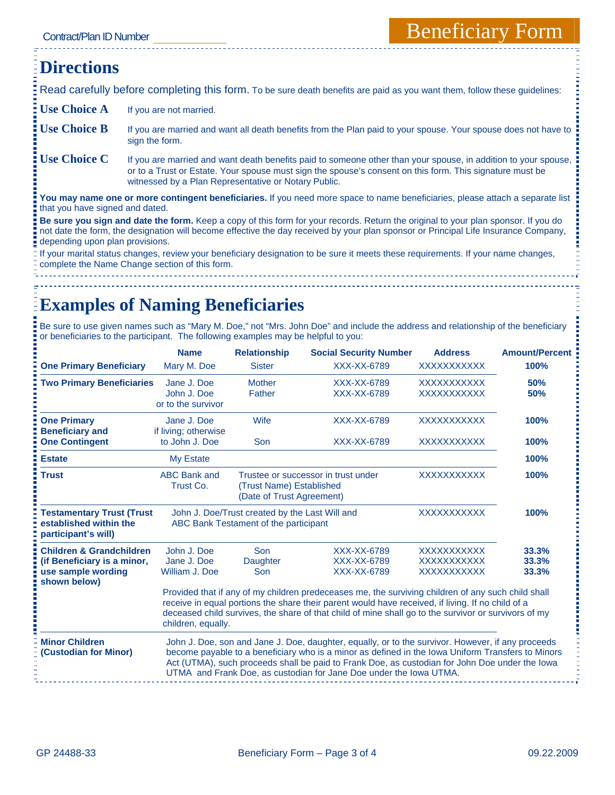### **Directions**  Read carefully before completing this form. To be sure death benefits are paid as you want them, follow these guidelines: **Use Choice A** If you are not married. Use Choice B If you are married and want all death benefits from the Plan paid to your spouse. Your spouse does not have to sign the form. Use Choice C If you are married and want death benefits paid to someone other than your spouse, in addition to your spouse, or to a Trust or Estate. Your spouse must sign the spouse's consent on this form. This signature must be witnessed by a Plan Representative or Notary Public. **You may name one or more contingent beneficiaries.** If you need more space to name beneficiaries, please attach a separate list that you have signed and dated. **Be sure you sign and date the form.** Keep a copy of this form for your records. Return the original to your plan sponsor. If you do not date the form, the designation will become effective the day received by your plan sponsor or Principal Life Insurance Company, depending upon plan provisions. If your marital status changes, review your beneficiary designation to be sure it meets these requirements. If your name changes,

complete the Name Change section of this form.

Ē

# **Examples of Naming Beneficiaries**

Be sure to use given names such as "Mary M. Doe," not "Mrs. John Doe" and include the address and relationship of the beneficiary or beneficiaries to the participant. The following examples may be helpful to you:

|                                                                                                          | <b>Name</b>                                                                             | <b>Relationship</b>     | <b>Social Security Number</b>                                                                                                                                                                                                                                                                                                                                                  | <b>Address</b>                                                 | <b>Amount/Percent</b>   |
|----------------------------------------------------------------------------------------------------------|-----------------------------------------------------------------------------------------|-------------------------|--------------------------------------------------------------------------------------------------------------------------------------------------------------------------------------------------------------------------------------------------------------------------------------------------------------------------------------------------------------------------------|----------------------------------------------------------------|-------------------------|
| <b>One Primary Beneficiary</b>                                                                           | Mary M. Doe                                                                             | <b>Sister</b>           | XXX-XX-6789                                                                                                                                                                                                                                                                                                                                                                    | <b>XXXXXXXXXXX</b>                                             | 100%                    |
| <b>Two Primary Beneficiaries</b>                                                                         | Jane J. Doe<br>John J. Doe<br>or to the survivor                                        | <b>Mother</b><br>Father | XXX-XX-6789<br>XXX-XX-6789                                                                                                                                                                                                                                                                                                                                                     | <b>XXXXXXXXXXX</b><br><b>XXXXXXXXXXX</b>                       | 50%<br>50%              |
| <b>One Primary</b><br><b>Beneficiary and</b>                                                             | Jane J. Doe<br>if living; otherwise                                                     | Wife                    | XXX-XX-6789                                                                                                                                                                                                                                                                                                                                                                    | <b>XXXXXXXXXXX</b>                                             | 100%                    |
| <b>One Contingent</b>                                                                                    | to John J. Doe                                                                          | Son                     | XXX-XX-6789                                                                                                                                                                                                                                                                                                                                                                    | <b>XXXXXXXXXXX</b>                                             | 100%                    |
| <b>Estate</b>                                                                                            | <b>My Estate</b>                                                                        |                         |                                                                                                                                                                                                                                                                                                                                                                                |                                                                | 100%                    |
| <b>Trust</b>                                                                                             | <b>ABC Bank and</b><br>Trust Co.                                                        | 100%                    |                                                                                                                                                                                                                                                                                                                                                                                |                                                                |                         |
| <b>Testamentary Trust (Trust</b><br>established within the<br>participant's will)                        | John J. Doe/Trust created by the Last Will and<br>ABC Bank Testament of the participant |                         |                                                                                                                                                                                                                                                                                                                                                                                | <b>XXXXXXXXXXX</b>                                             | 100%                    |
| <b>Children &amp; Grandchildren</b><br>(if Beneficiary is a minor,<br>use sample wording<br>shown below) | John J. Doe<br>Jane J. Doe<br>William J. Doe                                            | Son<br>Daughter<br>Son  | XXX-XX-6789<br>XXX-XX-6789<br>XXX-XX-6789                                                                                                                                                                                                                                                                                                                                      | <b>XXXXXXXXXXX</b><br><b>XXXXXXXXXXX</b><br><b>XXXXXXXXXXX</b> | 33.3%<br>33.3%<br>33.3% |
|                                                                                                          | children, equally.                                                                      |                         | Provided that if any of my children predeceases me, the surviving children of any such child shall<br>receive in equal portions the share their parent would have received, if living. If no child of a<br>deceased child survives, the share of that child of mine shall go to the survivor or survivors of my                                                                |                                                                |                         |
| <b>Minor Children</b><br>(Custodian for Minor)                                                           |                                                                                         |                         | John J. Doe, son and Jane J. Doe, daughter, equally, or to the survivor. However, if any proceeds<br>become payable to a beneficiary who is a minor as defined in the Iowa Uniform Transfers to Minors<br>Act (UTMA), such proceeds shall be paid to Frank Doe, as custodian for John Doe under the lowa<br>UTMA and Frank Doe, as custodian for Jane Doe under the Iowa UTMA. |                                                                |                         |